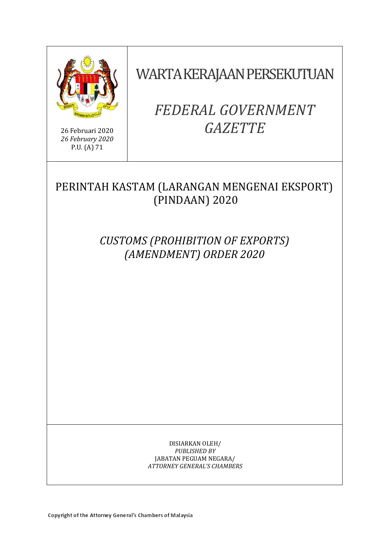

26 Februari 2020 *26 February 2020* P.U. (A) 71

# WARTA KERAJAAN PERSEKUTUAN

# *FEDERAL GOVERNMENT GAZETTE*

# PERINTAH KASTAM (LARANGAN MENGENAI EKSPORT) (PINDAAN) 2020

*CUSTOMS (PROHIBITION OF EXPORTS) (AMENDMENT) ORDER 2020*

> DISIARKAN OLEH/ *PUBLISHED BY* JABATAN PEGUAM NEGARA/ *ATTORNEY GENERAL'S CHAMBERS*

Copyright of the Attorney General's Chambers of Malaysia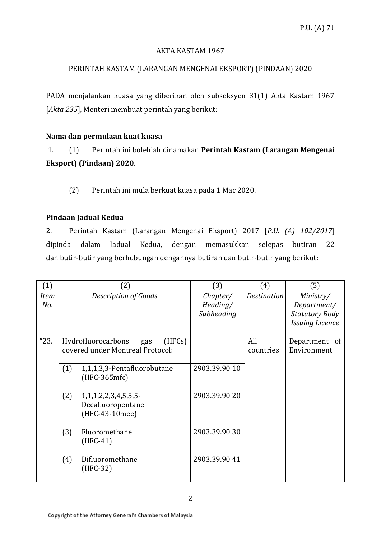#### AKTA KASTAM 1967

## PERINTAH KASTAM (LARANGAN MENGENAI EKSPORT) (PINDAAN) 2020

PADA menjalankan kuasa yang diberikan oleh subseksyen 31(1) Akta Kastam 1967 [*Akta 235*], Menteri membuat perintah yang berikut:

### **Nama dan permulaan kuat kuasa**

1. (1) Perintah ini bolehlah dinamakan **Perintah Kastam (Larangan Mengenai Eksport) (Pindaan) 2020**.

(2) Perintah ini mula berkuat kuasa pada 1 Mac 2020.

### **Pindaan Jadual Kedua**

2. Perintah Kastam (Larangan Mengenai Eksport) 2017 [*P.U. (A) 102/2017*] dipinda dalam Jadual Kedua, dengan memasukkan selepas butiran 22 dan butir-butir yang berhubungan dengannya butiran dan butir-butir yang berikut:

| (1)         |     | (2)                                                                     | (3)                                | (4)                | (5)                                                                         |
|-------------|-----|-------------------------------------------------------------------------|------------------------------------|--------------------|-----------------------------------------------------------------------------|
| Item<br>No. |     | <b>Description of Goods</b>                                             | Chapter/<br>Heading/<br>Subheading | <b>Destination</b> | Ministry/<br>Department/<br><b>Statutory Body</b><br><b>Issuing Licence</b> |
| "23.        |     | Hydrofluorocarbons<br>(HFCs)<br>gas<br>covered under Montreal Protocol: |                                    | All<br>countries   | Department of<br>Environment                                                |
|             | (1) | 1,1,1,3,3-Pentafluorobutane<br>$(HFC-365mfc)$                           | 2903.39.90 10                      |                    |                                                                             |
|             | (2) | 1, 1, 1, 2, 2, 3, 4, 5, 5, 5<br>Decafluoropentane<br>(HFC-43-10mee)     | 2903.39.90 20                      |                    |                                                                             |
|             | (3) | Fluoromethane<br>$(HFC-41)$                                             | 2903.39.90 30                      |                    |                                                                             |
|             | (4) | Difluoromethane<br>$(HFC-32)$                                           | 2903.39.90 41                      |                    |                                                                             |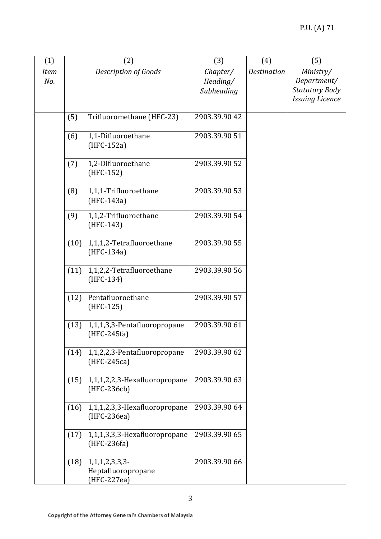| (1)                |      | (2)                                                       | (3)                                | (4)                | (5)                                               |
|--------------------|------|-----------------------------------------------------------|------------------------------------|--------------------|---------------------------------------------------|
| <b>Item</b><br>No. |      | <b>Description of Goods</b>                               | Chapter/<br>Heading/<br>Subheading | <b>Destination</b> | Ministry/<br>Department/<br><b>Statutory Body</b> |
|                    |      |                                                           |                                    |                    | <b>Issuing Licence</b>                            |
|                    | (5)  | Trifluoromethane (HFC-23)                                 | 2903.39.90 42                      |                    |                                                   |
|                    | (6)  | 1,1-Difluoroethane<br>$(HFC-152a)$                        | 2903.39.90 51                      |                    |                                                   |
|                    | (7)  | 1,2-Difluoroethane<br>(HFC-152)                           | 2903.39.90 52                      |                    |                                                   |
|                    | (8)  | 1,1,1-Trifluoroethane<br>$(HFC-143a)$                     | 2903.39.90 53                      |                    |                                                   |
|                    | (9)  | 1,1,2-Trifluoroethane<br>$(HFC-143)$                      | 2903.39.90 54                      |                    |                                                   |
|                    | (10) | 1,1,1,2-Tetrafluoroethane<br>(HFC-134a)                   | 2903.39.90 55                      |                    |                                                   |
|                    | (11) | 1,1,2,2-Tetrafluoroethane<br>$(HFC-134)$                  | 2903.39.90 56                      |                    |                                                   |
|                    | (12) | Pentafluoroethane<br>$(HFC-125)$                          | 2903.39.90 57                      |                    |                                                   |
|                    | (13) | 1,1,1,3,3-Pentafluoropropane<br>$(HFC-245fa)$             | 2903.39.90 61                      |                    |                                                   |
|                    |      | $(14)$ 1,1,2,2,3-Pentafluoropropane<br>(HFC-245ca)        | 2903.39.90 62                      |                    |                                                   |
|                    | (15) | 1,1,1,2,2,3-Hexafluoropropane<br>(HFC-236cb)              | 2903.39.90 63                      |                    |                                                   |
|                    | (16) | 1,1,1,2,3,3-Hexafluoropropane<br>(HFC-236ea)              | 2903.39.90 64                      |                    |                                                   |
|                    | (17) | 1,1,1,3,3,3-Hexafluoropropane<br>$(HFC-236fa)$            | 2903.39.90 65                      |                    |                                                   |
|                    | (18) | 1, 1, 1, 2, 3, 3, 3-<br>Heptafluoropropane<br>(HFC-227ea) | 2903.39.90 66                      |                    |                                                   |

3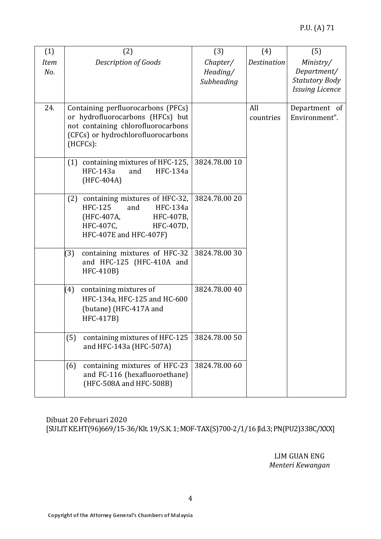| (1)                | (2)                                                                                                                                                               | (3)                                | (4)                | (5)                                                                         |
|--------------------|-------------------------------------------------------------------------------------------------------------------------------------------------------------------|------------------------------------|--------------------|-----------------------------------------------------------------------------|
| <b>Item</b><br>No. | <b>Description of Goods</b>                                                                                                                                       | Chapter/<br>Heading/<br>Subheading | <b>Destination</b> | Ministry/<br>Department/<br><b>Statutory Body</b><br><b>Issuing Licence</b> |
|                    |                                                                                                                                                                   |                                    |                    |                                                                             |
| 24.                | Containing perfluorocarbons (PFCs)<br>or hydrofluorocarbons (HFCs) but<br>not containing chlorofluorocarbons<br>(CFCs) or hydrochlorofluorocarbons<br>$(HCFCs)$ : |                                    | All<br>countries   | Department of<br>Environment".                                              |
|                    | (1) containing mixtures of HFC-125,<br>HFC-143a<br>and<br>HFC-134a<br>(HFC-404A)                                                                                  | 3824.78.00 10                      |                    |                                                                             |
|                    | containing mixtures of HFC-32,<br>(2)<br><b>HFC-125</b><br><b>HFC-134a</b><br>and<br>(HFC-407A,<br>HFC-407B,<br>HFC-407C,<br>HFC-407D,<br>HFC-407E and HFC-407F)  | 3824.78.00 20                      |                    |                                                                             |
|                    | containing mixtures of HFC-32<br>(3)<br>and HFC-125 (HFC-410A and<br>HFC-410B)                                                                                    | 3824.78.0030                       |                    |                                                                             |
|                    | (4)<br>containing mixtures of<br>HFC-134a, HFC-125 and HC-600<br>(butane) (HFC-417A and<br>HFC-417B)                                                              | 3824.78.00 40                      |                    |                                                                             |
|                    | containing mixtures of HFC-125<br>(5)<br>and HFC-143a (HFC-507A)                                                                                                  | 3824.78.00 50                      |                    |                                                                             |
|                    | containing mixtures of HFC-23<br>(6)<br>and FC-116 (hexafluoroethane)<br>(HFC-508A and HFC-508B)                                                                  | 3824.78.00 60                      |                    |                                                                             |

Dibuat 20 Februari 2020 [SULIT KE.HT(96)669/15-36/Klt. 19/S.K. 1; MOF-TAX(S)700-2/1/16 Jld.3; PN(PU2)338C/XXX]

> LIM GUAN ENG *Menteri Kewangan*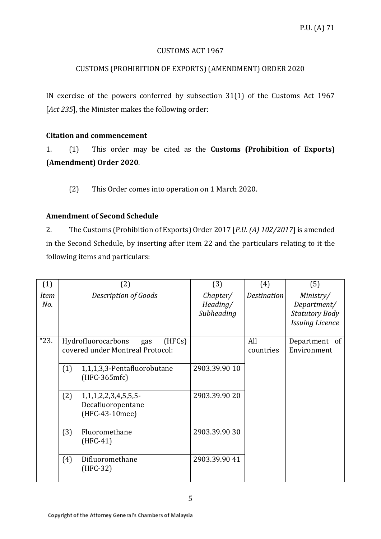#### CUSTOMS ACT 1967

### CUSTOMS (PROHIBITION OF EXPORTS) (AMENDMENT) ORDER 2020

IN exercise of the powers conferred by subsection 31(1) of the Customs Act 1967 [*Act 235*], the Minister makes the following order:

#### **Citation and commencement**

1. (1) This order may be cited as the **Customs (Prohibition of Exports) (Amendment) Order 2020**.

(2) This Order comes into operation on 1 March 2020.

### **Amendment of Second Schedule**

2. The Customs (Prohibition of Exports) Order 2017 [*P.U. (A) 102/2017*] is amended in the Second Schedule, by inserting after item 22 and the particulars relating to it the following items and particulars:

| (1)         |     | (2)                                                                     | (3)                                | (4)                | (5)                                                                         |
|-------------|-----|-------------------------------------------------------------------------|------------------------------------|--------------------|-----------------------------------------------------------------------------|
| Item<br>No. |     | <b>Description of Goods</b>                                             | Chapter/<br>Heading/<br>Subheading | <b>Destination</b> | Ministry/<br>Department/<br><b>Statutory Body</b><br><b>Issuing Licence</b> |
| "23.        |     | Hydrofluorocarbons<br>(HFCs)<br>gas<br>covered under Montreal Protocol: |                                    | All<br>countries   | Department of<br>Environment                                                |
|             | (1) | 1,1,1,3,3-Pentafluorobutane<br>(HFC-365mfc)                             | 2903.39.90 10                      |                    |                                                                             |
|             | (2) | 1, 1, 1, 2, 2, 3, 4, 5, 5, 5<br>Decafluoropentane<br>(HFC-43-10mee)     | 2903.39.90 20                      |                    |                                                                             |
|             | (3) | Fluoromethane<br>$(HFC-41)$                                             | 2903.39.9030                       |                    |                                                                             |
|             | (4) | Difluoromethane<br>$(HFC-32)$                                           | 2903.39.90 41                      |                    |                                                                             |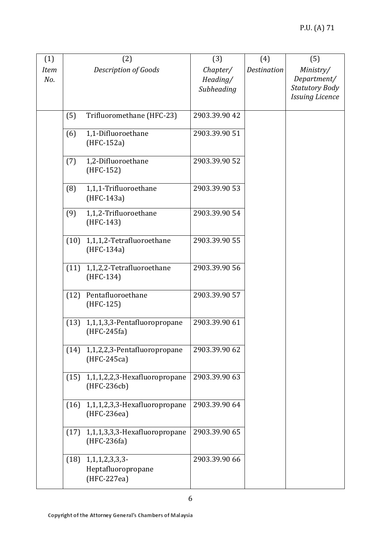| (1)                |      | (2)                                                       | (3)                                | (4)                | (5)                                                                         |
|--------------------|------|-----------------------------------------------------------|------------------------------------|--------------------|-----------------------------------------------------------------------------|
| <b>Item</b><br>No. |      | <b>Description of Goods</b>                               | Chapter/<br>Heading/<br>Subheading | <b>Destination</b> | Ministry/<br>Department/<br><b>Statutory Body</b><br><b>Issuing Licence</b> |
|                    | (5)  | Trifluoromethane (HFC-23)                                 | 2903.39.90 42                      |                    |                                                                             |
|                    | (6)  | 1,1-Difluoroethane<br>(HFC-152a)                          | 2903.39.90 51                      |                    |                                                                             |
|                    | (7)  | 1,2-Difluoroethane<br>(HFC-152)                           | 2903.39.90 52                      |                    |                                                                             |
|                    | (8)  | 1,1,1-Trifluoroethane<br>(HFC-143a)                       | 2903.39.90 53                      |                    |                                                                             |
|                    | (9)  | 1,1,2-Trifluoroethane<br>(HFC-143)                        | 2903.39.90 54                      |                    |                                                                             |
|                    | (10) | 1,1,1,2-Tetrafluoroethane<br>(HFC-134a)                   | 2903.39.90 55                      |                    |                                                                             |
|                    | (11) | 1,1,2,2-Tetrafluoroethane<br>$(HFC-134)$                  | 2903.39.90 56                      |                    |                                                                             |
|                    | (12) | Pentafluoroethane<br>$(HFC-125)$                          | 2903.39.90 57                      |                    |                                                                             |
|                    | (13) | 1,1,1,3,3-Pentafluoropropane<br>$(HFC-245fa)$             | 2903.39.90 61                      |                    |                                                                             |
|                    |      | (14) 1,1,2,2,3-Pentafluoropropane<br>(HFC-245ca)          | 2903.39.90 62                      |                    |                                                                             |
|                    |      | $(15)$ 1,1,1,2,2,3-Hexafluoropropane<br>(HFC-236cb)       | 2903.39.90 63                      |                    |                                                                             |
|                    |      | $(16)$ 1,1,1,2,3,3-Hexafluoropropane<br>(HFC-236ea)       | 2903.39.90 64                      |                    |                                                                             |
|                    |      | $(17)$ 1,1,1,3,3,3-Hexafluoropropane<br>$(HFC-236fa)$     | 2903.39.90 65                      |                    |                                                                             |
|                    | (18) | 1, 1, 1, 2, 3, 3, 3-<br>Heptafluoropropane<br>(HFC-227ea) | 2903.39.90 66                      |                    |                                                                             |